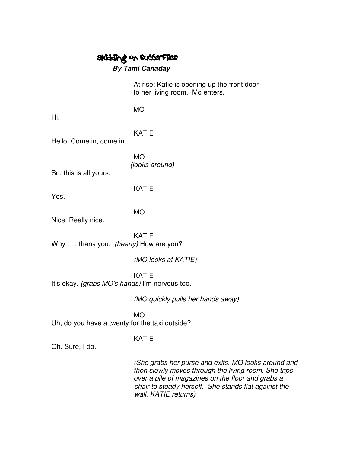# Skidding on Butterflies Butterflies

 **By Tami Canaday** 

At rise: Katie is opening up the front door to her living room. Mo enters.

**MO** 

Hi.

KATIE

Hello. Come in, come in.

 MO (looks around)

So, this is all yours.

KATIE

Yes.

MO

Nice. Really nice.

 KATIE Why . . . thank you. (hearty) How are you?

(MO looks at KATIE)

 KATIE It's okay. (grabs MO's hands) I'm nervous too.

(MO quickly pulls her hands away)

 MO Uh, do you have a twenty for the taxi outside?

# KATIE

Oh. Sure, I do.

 (She grabs her purse and exits. MO looks around and then slowly moves through the living room. She trips over a pile of magazines on the floor and grabs a chair to steady herself. She stands flat against the wall. KATIE returns)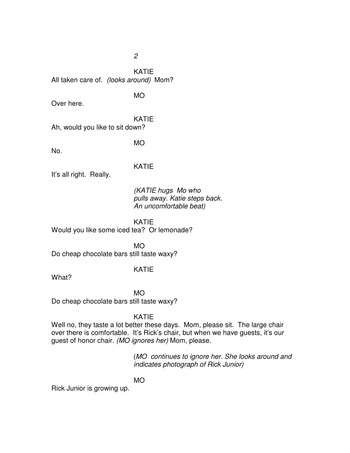2

 KATIE All taken care of. (looks around) Mom?

**MO** 

Over here.

 KATIE Ah, would you like to sit down?

MO

No.

# KATIE

It's all right. Really.

 (KATIE hugs Mo who pulls away. Katie steps back. An uncomfortable beat)

 KATIE Would you like some iced tea? Or lemonade?

 MO Do cheap chocolate bars still taste waxy?

# KATIE

What?

**MO MO** Do cheap chocolate bars still taste waxy?

# KATIE

Well no, they taste a lot better these days. Mom, please sit. The large chair over there is comfortable. It's Rick's chair, but when we have guests, it's our guest of honor chair. (MO ignores her) Mom, please.

> (MO continues to ignore her. She looks around and indicates photograph of Rick Junior)

MO

Rick Junior is growing up.